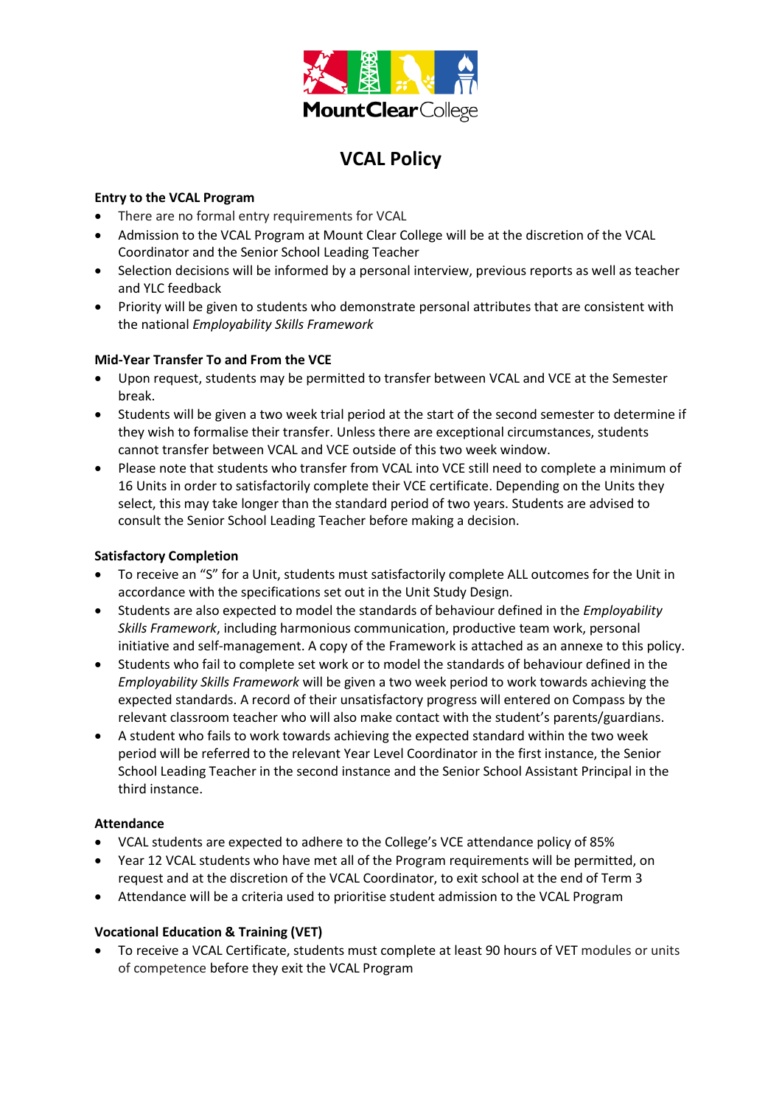

# **VCAL Policy**

#### **Entry to the VCAL Program**

- There are no formal entry requirements for VCAL
- Admission to the VCAL Program at Mount Clear College will be at the discretion of the VCAL Coordinator and the Senior School Leading Teacher
- Selection decisions will be informed by a personal interview, previous reports as well as teacher and YLC feedback
- Priority will be given to students who demonstrate personal attributes that are consistent with the national *Employability Skills Framework*

#### **Mid-Year Transfer To and From the VCE**

- Upon request, students may be permitted to transfer between VCAL and VCE at the Semester break.
- Students will be given a two week trial period at the start of the second semester to determine if they wish to formalise their transfer. Unless there are exceptional circumstances, students cannot transfer between VCAL and VCE outside of this two week window.
- Please note that students who transfer from VCAL into VCE still need to complete a minimum of 16 Units in order to satisfactorily complete their VCE certificate. Depending on the Units they select, this may take longer than the standard period of two years. Students are advised to consult the Senior School Leading Teacher before making a decision.

#### **Satisfactory Completion**

- To receive an "S" for a Unit, students must satisfactorily complete ALL outcomes for the Unit in accordance with the specifications set out in the Unit Study Design.
- Students are also expected to model the standards of behaviour defined in the *Employability Skills Framework*, including harmonious communication, productive team work, personal initiative and self-management. A copy of the Framework is attached as an annexe to this policy.
- Students who fail to complete set work or to model the standards of behaviour defined in the *Employability Skills Framework* will be given a two week period to work towards achieving the expected standards. A record of their unsatisfactory progress will entered on Compass by the relevant classroom teacher who will also make contact with the student's parents/guardians.
- A student who fails to work towards achieving the expected standard within the two week period will be referred to the relevant Year Level Coordinator in the first instance, the Senior School Leading Teacher in the second instance and the Senior School Assistant Principal in the third instance.

#### **Attendance**

- VCAL students are expected to adhere to the College's VCE attendance policy of 85%
- Year 12 VCAL students who have met all of the Program requirements will be permitted, on request and at the discretion of the VCAL Coordinator, to exit school at the end of Term 3
- Attendance will be a criteria used to prioritise student admission to the VCAL Program

### **Vocational Education & Training (VET)**

 To receive a VCAL Certificate, students must complete at least 90 hours of VET modules or units of competence before they exit the VCAL Program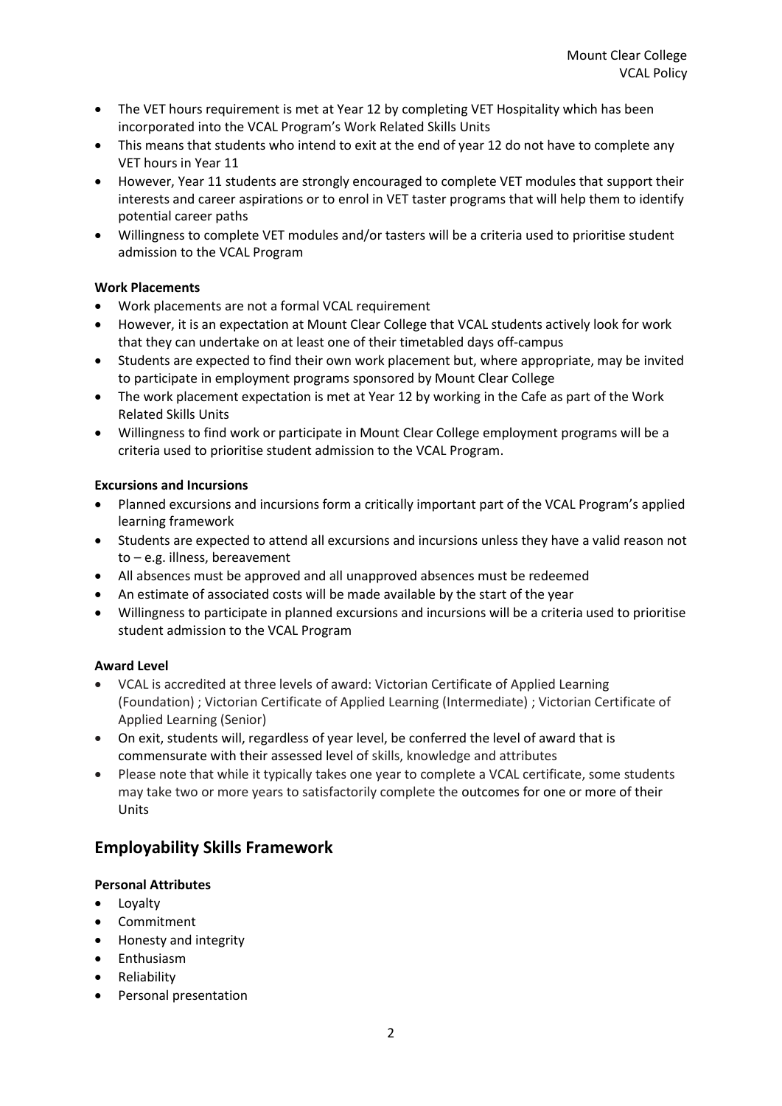- The VET hours requirement is met at Year 12 by completing VET Hospitality which has been incorporated into the VCAL Program's Work Related Skills Units
- This means that students who intend to exit at the end of year 12 do not have to complete any VET hours in Year 11
- However, Year 11 students are strongly encouraged to complete VET modules that support their interests and career aspirations or to enrol in VET taster programs that will help them to identify potential career paths
- Willingness to complete VET modules and/or tasters will be a criteria used to prioritise student admission to the VCAL Program

#### **Work Placements**

- Work placements are not a formal VCAL requirement
- However, it is an expectation at Mount Clear College that VCAL students actively look for work that they can undertake on at least one of their timetabled days off-campus
- Students are expected to find their own work placement but, where appropriate, may be invited to participate in employment programs sponsored by Mount Clear College
- The work placement expectation is met at Year 12 by working in the Cafe as part of the Work Related Skills Units
- Willingness to find work or participate in Mount Clear College employment programs will be a criteria used to prioritise student admission to the VCAL Program.

#### **Excursions and Incursions**

- Planned excursions and incursions form a critically important part of the VCAL Program's applied learning framework
- Students are expected to attend all excursions and incursions unless they have a valid reason not to – e.g. illness, bereavement
- All absences must be approved and all unapproved absences must be redeemed
- An estimate of associated costs will be made available by the start of the year
- Willingness to participate in planned excursions and incursions will be a criteria used to prioritise student admission to the VCAL Program

#### **Award Level**

- VCAL is accredited at three levels of award: Victorian Certificate of Applied Learning (Foundation) ; Victorian Certificate of Applied Learning (Intermediate) ; Victorian Certificate of Applied Learning (Senior)
- On exit, students will, regardless of year level, be conferred the level of award that is commensurate with their assessed level of skills, knowledge and attributes
- Please note that while it typically takes one year to complete a VCAL certificate, some students may take two or more years to satisfactorily complete the outcomes for one or more of their Units

## **Employability Skills Framework**

#### **Personal Attributes**

- Loyalty
- Commitment
- Honesty and integrity
- Enthusiasm
- Reliability
- Personal presentation